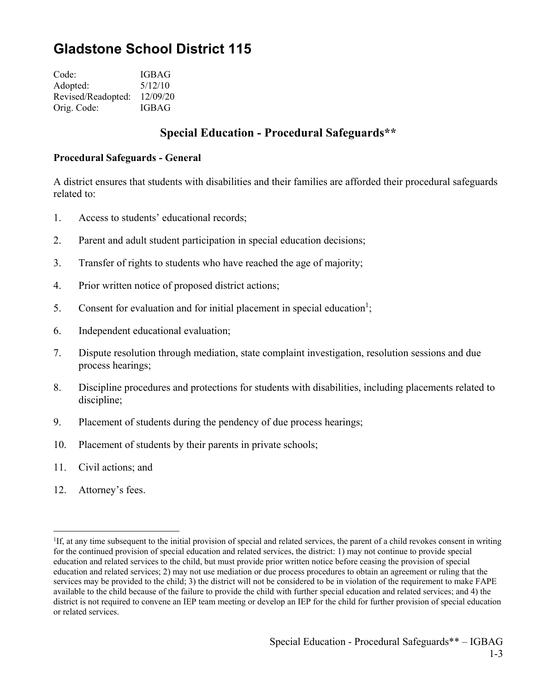# **Gladstone School District 115**

Code: IGBAG Adopted: 5/12/10 Revised/Readopted: 12/09/20 Orig. Code: IGBAG

# **Special Education - Procedural Safeguards\*\***

#### **Procedural Safeguards - General**

A district ensures that students with disabilities and their families are afforded their procedural safeguards related to:

- 1. Access to students' educational records;
- 2. Parent and adult student participation in special education decisions;
- 3. Transfer of rights to students who have reached the age of majority;
- 4. Prior written notice of proposed district actions;
- 5. Consent for evaluation and for initial placement in special education<sup>1</sup>;
- 6. Independent educational evaluation;
- 7. Dispute resolution through mediation, state complaint investigation, resolution sessions and due process hearings;
- 8. Discipline procedures and protections for students with disabilities, including placements related to discipline;
- 9. Placement of students during the pendency of due process hearings;
- 10. Placement of students by their parents in private schools;
- 11. Civil actions; and
- 12. Attorney's fees.

 $\overline{a}$ 

<sup>&</sup>lt;sup>1</sup>If, at any time subsequent to the initial provision of special and related services, the parent of a child revokes consent in writing for the continued provision of special education and related services, the district: 1) may not continue to provide special education and related services to the child, but must provide prior written notice before ceasing the provision of special education and related services; 2) may not use mediation or due process procedures to obtain an agreement or ruling that the services may be provided to the child; 3) the district will not be considered to be in violation of the requirement to make FAPE available to the child because of the failure to provide the child with further special education and related services; and 4) the district is not required to convene an IEP team meeting or develop an IEP for the child for further provision of special education or related services.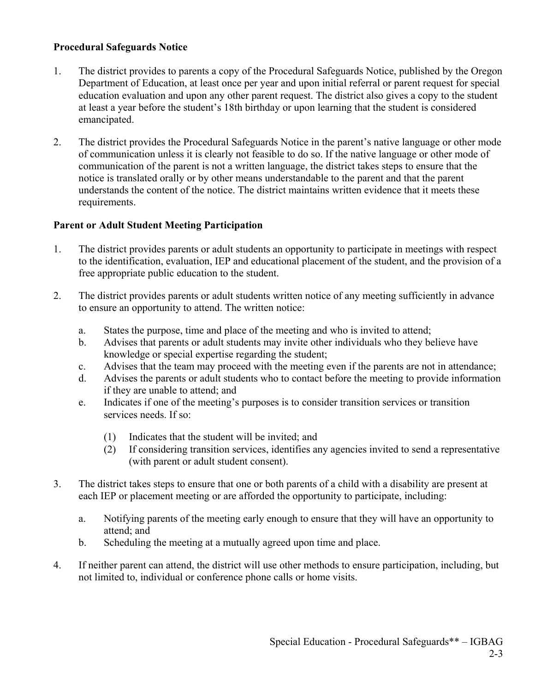### **Procedural Safeguards Notice**

- 1. The district provides to parents a copy of the Procedural Safeguards Notice, published by the Oregon Department of Education, at least once per year and upon initial referral or parent request for special education evaluation and upon any other parent request. The district also gives a copy to the student at least a year before the student's 18th birthday or upon learning that the student is considered emancipated.
- 2. The district provides the Procedural Safeguards Notice in the parent's native language or other mode of communication unless it is clearly not feasible to do so. If the native language or other mode of communication of the parent is not a written language, the district takes steps to ensure that the notice is translated orally or by other means understandable to the parent and that the parent understands the content of the notice. The district maintains written evidence that it meets these requirements.

## **Parent or Adult Student Meeting Participation**

- 1. The district provides parents or adult students an opportunity to participate in meetings with respect to the identification, evaluation, IEP and educational placement of the student, and the provision of a free appropriate public education to the student.
- 2. The district provides parents or adult students written notice of any meeting sufficiently in advance to ensure an opportunity to attend. The written notice:
	- a. States the purpose, time and place of the meeting and who is invited to attend;
	- b. Advises that parents or adult students may invite other individuals who they believe have knowledge or special expertise regarding the student;
	- c. Advises that the team may proceed with the meeting even if the parents are not in attendance;
	- d. Advises the parents or adult students who to contact before the meeting to provide information if they are unable to attend; and
	- e. Indicates if one of the meeting's purposes is to consider transition services or transition services needs. If so:
		- (1) Indicates that the student will be invited; and
		- (2) If considering transition services, identifies any agencies invited to send a representative (with parent or adult student consent).
- 3. The district takes steps to ensure that one or both parents of a child with a disability are present at each IEP or placement meeting or are afforded the opportunity to participate, including:
	- a. Notifying parents of the meeting early enough to ensure that they will have an opportunity to attend; and
	- b. Scheduling the meeting at a mutually agreed upon time and place.
- 4. If neither parent can attend, the district will use other methods to ensure participation, including, but not limited to, individual or conference phone calls or home visits.